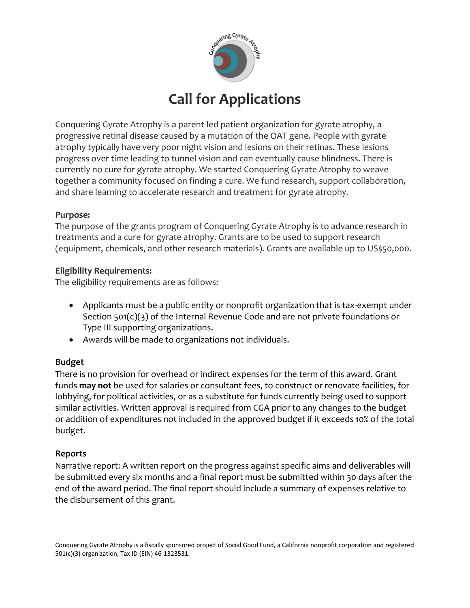

# **Call for Applications**

Conquering Gyrate Atrophy is a parent-led patient organization for gyrate atrophy, a progressive retinal disease caused by a mutation of the OAT gene. People with gyrate atrophy typically have very poor night vision and lesions on their retinas. These lesions progress over time leading to tunnel vision and can eventually cause blindness. There is currently no cure for gyrate atrophy. We started Conquering Gyrate Atrophy to weave together a community focused on finding a cure. We fund research, support collaboration, and share learning to accelerate research and treatment for gyrate atrophy.

#### **Purpose:**

The purpose of the grants program of Conquering Gyrate Atrophy is to advance research in treatments and a cure for gyrate atrophy. Grants are to be used to support research (equipment, chemicals, and other research materials). Grants are available up to US\$50,000.

#### **Eligibility Requirements:**

The eligibility requirements are as follows:

- Applicants must be a public entity or nonprofit organization that is tax-exempt under Section 501(c)(3) of the Internal Revenue Code and are not private foundations or Type III supporting organizations.
- Awards will be made to organizations not individuals.

# **Budget**

There is no provision for overhead or indirect expenses for the term of this award. Grant funds **may not** be used for salaries or consultant fees, to construct or renovate facilities, for lobbying, for political activities, or as a substitute for funds currently being used to support similar activities. Written approval is required from CGA prior to any changes to the budget or addition of expenditures not included in the approved budget if it exceeds 10% of the total budget.

# **Reports**

Narrative report: A written report on the progress against specific aims and deliverables will be submitted every six months and a final report must be submitted within 30 days after the end of the award period. The final report should include a summary of expenses relative to the disbursement of this grant.